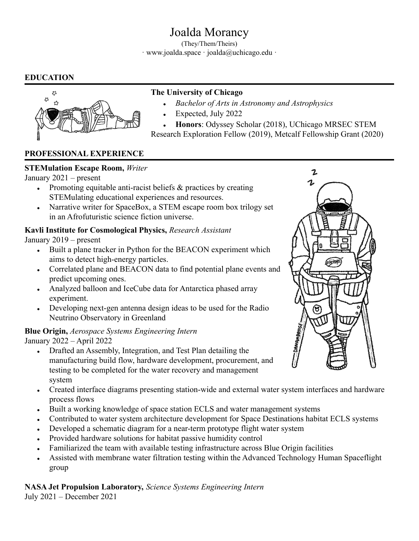# Joalda Morancy

(They/Them/Theirs) · www.joalda.space · joalda@uchicago.edu ·

# **EDUCATION**



# **The University of Chicago**

- *● Bachelor of Arts in Astronomy and Astrophysics*
- Expected, July 2022

● **Honors**: Odyssey Scholar (2018), UChicago MRSEC STEM Research Exploration Fellow (2019), Metcalf Fellowship Grant (2020)

# **PROFESSIONAL EXPERIENCE**

#### **STEMulation Escape Room,** *Writer*

January 2021 – present

- Promoting equitable anti-racist beliefs  $\&$  practices by creating STEMulating educational experiences and resources.
- Narrative writer for SpaceBox, a STEM escape room box trilogy set in an Afrofuturistic science fiction universe.

# **Kavli Institute for Cosmological Physics,** *Research Assistant*

January 2019 – present

- Built a plane tracker in Python for the BEACON experiment which aims to detect high-energy particles.
- Correlated plane and BEACON data to find potential plane events and predict upcoming ones.
- Analyzed balloon and IceCube data for Antarctica phased array experiment.
- Developing next-gen antenna design ideas to be used for the Radio Neutrino Observatory in Greenland

#### **Blue Origin,** *Aerospace Systems Engineering Intern* January 2022 – April 2022

- Drafted an Assembly, Integration, and Test Plan detailing the manufacturing build flow, hardware development, procurement, and testing to be completed for the water recovery and management system
- Created interface diagrams presenting station-wide and external water system interfaces and hardware process flows
- Built a working knowledge of space station ECLS and water management systems
- Contributed to water system architecture development for Space Destinations habitat ECLS systems
- Developed a schematic diagram for a near-term prototype flight water system
- Provided hardware solutions for habitat passive humidity control
- Familiarized the team with available testing infrastructure across Blue Origin facilities
- Assisted with membrane water filtration testing within the Advanced Technology Human Spaceflight group

**NASA Jet Propulsion Laboratory,** *Science Systems Engineering Intern* July 2021 – December 2021

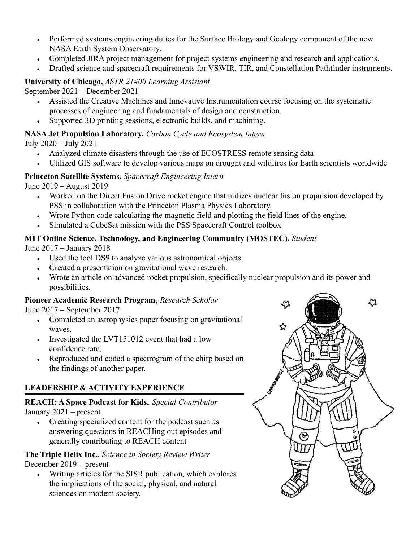- Performed systems engineering duties for the Surface Biology and Geology component of the new NASA Earth System Observatory.
- Completed JIRA project management for project systems engineering and research and applications.
- Drafted science and spacecraft requirements for VSWIR, TIR, and Constellation Pathfinder instruments.

# **University of Chicago,** *ASTR 21400 Learning Assistant*

September 2021 – December 2021

- Assisted the Creative Machines and Innovative Instrumentation course focusing on the systematic processes of engineering and fundamentals of design and construction.
- Supported 3D printing sessions, electronic builds, and machining.

**NASA Jet Propulsion Laboratory,** *Carbon Cycle and Ecosystem Intern*

July 2020 – July 2021

- Analyzed climate disasters through the use of ECOSTRESS remote sensing data
- Utilized GIS software to develop various maps on drought and wildfires for Earth scientists worldwide

# **Princeton Satellite Systems,** *Spacecraft Engineering Intern*

June 2019 – August 2019

- Worked on the Direct Fusion Drive rocket engine that utilizes nuclear fusion propulsion developed by PSS in collaboration with the Princeton Plasma Physics Laboratory.
- Wrote Python code calculating the magnetic field and plotting the field lines of the engine.
- Simulated a CubeSat mission with the PSS Spacecraft Control toolbox.

# **MIT Online Science, Technology, and Engineering Community (MOSTEC),** *Student*

June 2017 – January 2018

- Used the tool DS9 to analyze various astronomical objects.
- Created a presentation on gravitational wave research.
- Wrote an article on advanced rocket propulsion, specifically nuclear propulsion and its power and possibilities.

# **Pioneer Academic Research Program,** *Research Scholar*

June 2017 – September 2017

- Completed an astrophysics paper focusing on gravitational waves.
- Investigated the LVT151012 event that had a low confidence rate.
- Reproduced and coded a spectrogram of the chirp based on the findings of another paper.

# **LEADERSHIP & ACTIVITY EXPERIENCE**

#### **REACH: A Space Podcast for Kids,** *Special Contributor* January 2021 – present

• Creating specialized content for the podcast such as answering questions in REACHing out episodes and generally contributing to REACH content

# **The Triple Helix Inc.,** *Science in Society Review Writer* December 2019 – present

• Writing articles for the SISR publication, which explores the implications of the social, physical, and natural sciences on modern society.

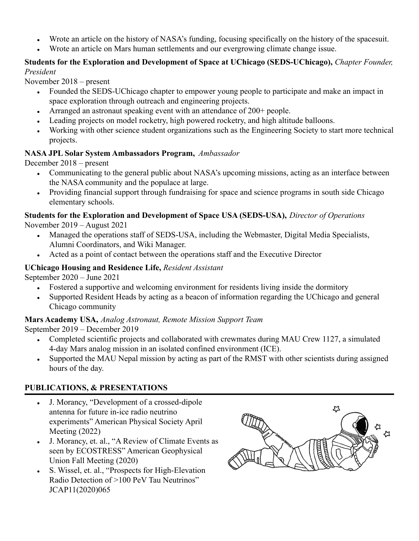- Wrote an article on the history of NASA's funding, focusing specifically on the history of the spacesuit.
- Wrote an article on Mars human settlements and our evergrowing climate change issue.

#### **Students for the Exploration and Development of Space at UChicago (SEDS-UChicago),** *Chapter Founder, President*

November 2018 – present

- Founded the SEDS-UChicago chapter to empower young people to participate and make an impact in space exploration through outreach and engineering projects.
- Arranged an astronaut speaking event with an attendance of  $200+$  people.
- Leading projects on model rocketry, high powered rocketry, and high altitude balloons.
- Working with other science student organizations such as the Engineering Society to start more technical projects.

#### **NASA JPL Solar System Ambassadors Program,** *Ambassador*

December 2018 – present

- Communicating to the general public about NASA's upcoming missions, acting as an interface between the NASA community and the populace at large.
- Providing financial support through fundraising for space and science programs in south side Chicago elementary schools.

#### **Students for the Exploration and Development of Space USA (SEDS-USA),** *Director of Operations* November 2019 – August 2021

- Managed the operations staff of SEDS-USA, including the Webmaster, Digital Media Specialists, Alumni Coordinators, and Wiki Manager.
- Acted as a point of contact between the operations staff and the Executive Director

# **UChicago Housing and Residence Life,** *Resident Assistant*

September 2020 – June 2021

- Fostered a supportive and welcoming environment for residents living inside the dormitory
- Supported Resident Heads by acting as a beacon of information regarding the UChicago and general Chicago community

# **Mars Academy USA,** *Analog Astronaut, Remote Mission Support Team*

September 2019 – December 2019

- Completed scientific projects and collaborated with crewmates during MAU Crew 1127, a simulated 4-day Mars analog mission in an isolated confined environment (ICE).
- Supported the MAU Nepal mission by acting as part of the RMST with other scientists during assigned hours of the day.

# **PUBLICATIONS, & PRESENTATIONS**

- J. Morancy, "Development of a crossed-dipole" antenna for future in-ice radio neutrino experiments" American Physical Society April Meeting (2022)
- J. Morancy, et. al., "A Review of Climate Events as seen by ECOSTRESS" American Geophysical Union Fall Meeting (2020)
- S. Wissel, et. al., "Prospects for High-Elevation" Radio Detection of >100 PeV Tau Neutrinos" JCAP11(2020)065